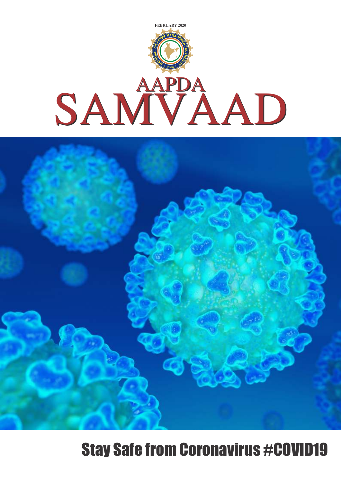



# Stay Safe from Coronavirus #COVID19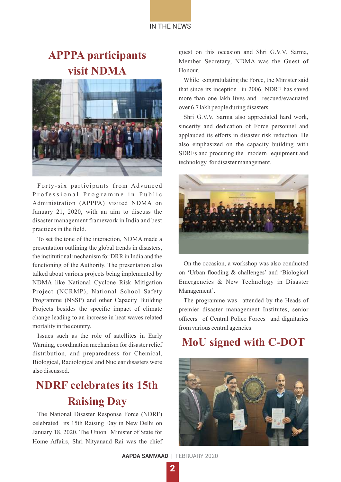# **APPPA participants visit NDMA**



Forty-six participants from Advanced Professional Programme in Public Administration (APPPA) visited NDMA on January 21, 2020, with an aim to discuss the disaster management framework in India and best practices in the field.

To set the tone of the interaction, NDMA made a presentation outlining the global trends in disasters, the institutional mechanism for DRR in India and the functioning of the Authority. The presentation also talked about various projects being implemented by NDMA like National Cyclone Risk Mitigation Project (NCRMP), National School Safety Programme (NSSP) and other Capacity Building Projects besides the specific impact of climate change leading to an increase in heat waves related mortality in the country.

Issues such as the role of satellites in Early Warning, coordination mechanism for disaster relief distribution, and preparedness for Chemical, Biological, Radiological and Nuclear disasters were also discussed.

### **NDRF celebrates its 15th Raising Day**

The National Disaster Response Force (NDRF) celebrated its 15th Raising Day in New Delhi on January 18, 2020. The Union Minister of State for Home Affairs, Shri Nityanand Rai was the chief guest on this occasion and Shri G.V.V. Sarma, Member Secretary, NDMA was the Guest of Honour.

While congratulating the Force, the Minister said that since its inception in 2006, NDRF has saved more than one lakh lives and rescued/evacuated over 6.7 lakh people during disasters.

Shri G.V.V. Sarma also appreciated hard work, sincerity and dedication of Force personnel and applauded its efforts in disaster risk reduction. He also emphasized on the capacity building with SDRFs and procuring the modern equipment and technology for disaster management.



On the occasion, a workshop was also conducted on 'Urban flooding & challenges' and 'Biological Emergencies & New Technology in Disaster Management'.

The programme was attended by the Heads of premier disaster management Institutes, senior officers of Central Police Forces and dignitaries from various central agencies.

### **MoU signed with C-DOT**



**AAPDA SAMVAAD** | FEBRUARY 2020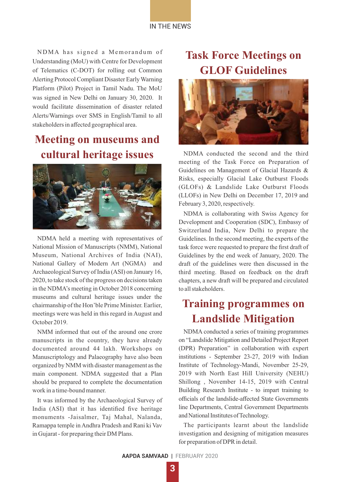

NDMA has signed a Memorandum of Understanding (MoU) with Centre for Development of Telematics (C-DOT) for rolling out Common Alerting Protocol Compliant Disaster Early Warning Platform (Pilot) Project in Tamil Nadu. The MoU was signed in New Delhi on January 30, 2020. It would facilitate dissemination of disaster related Alerts/Warnings over SMS in English/Tamil to all stakeholders in affected geographical area.

# **Meeting on museums and cultural heritage issues**



NDMA held a meeting with representatives of National Mission of Manuscripts (NMM), National Museum, National Archives of India (NAI), National Gallery of Modern Art (NGMA) and Archaeological Survey of India (ASI) on January 16, 2020, to take stock of the progress on decisions taken in the NDMA's meeting in October 2018 concerning museums and cultural heritage issues under the chairmanship of the Hon'ble Prime Minister. Earlier, meetings were was held in this regard in August and October 2019.

NMM informed that out of the around one crore manuscripts in the country, they have already documented around 44 lakh. Workshops on Manuscriptology and Palaeography have also been organized by NMM with disaster management as the main component. NDMA suggested that a Plan should be prepared to complete the documentation work in a time-bound manner.

It was informed by the Archaeological Survey of India (ASI) that it has identified five heritage monuments -Jaisalmer, Taj Mahal, Nalanda, Ramappa temple in Andhra Pradesh and Rani ki Vav in Gujarat - for preparing their DM Plans.

# **Task Force Meetings on GLOF Guidelines**



NDMA conducted the second and the third meeting of the Task Force on Preparation of Guidelines on Management of Glacial Hazards & Risks, especially Glacial Lake Outburst Floods (GLOFs) & Landslide Lake Outburst Floods (LLOFs) in New Delhi on December 17, 2019 and February 3, 2020, respectively.

NDMA is collaborating with Swiss Agency for Development and Cooperation (SDC), Embassy of Switzerland India, New Delhi to prepare the Guidelines. In the second meeting, the experts of the task force were requested to prepare the first draft of Guidelines by the end week of January, 2020. The draft of the guidelines were then discussed in the third meeting. Based on feedback on the draft chapters, a new draft will be prepared and circulated to all stakeholders.

### **Training programmes on Landslide Mitigation**

NDMA conducted a series of training programmes on "Landslide Mitigation and Detailed Project Report (DPR) Preparation" in collaboration with expert institutions - September 23-27, 2019 with Indian Institute of Technology-Mandi, November 25-29, 2019 with North East Hill University (NEHU) Shillong , November 14-15, 2019 with Central Building Research Institute - to impart training to officials of the landslide-affected State Governments line Departments, Central Government Departments and National Institutes of Technology.

The participants learnt about the landslide investigation and designing of mitigation measures for preparation of DPR in detail.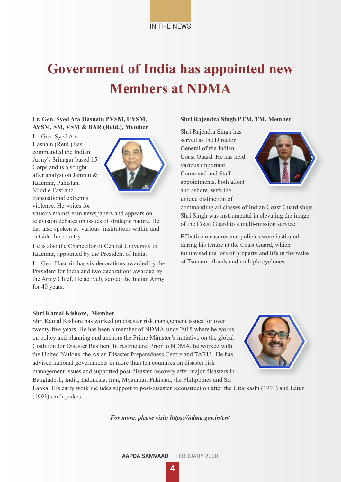# **Government of India has appointed new Members at NDMA**

### **Lt. Gen. Syed Ata Hasnain PVSM, UYSM, AVSM, SM, VSM & BAR (Retd.), Member**

Lt. Gen. Syed Ata Hasnain (Retd.) has commanded the Indian Army's Srinagar based 15 Corps and is a sought after analyst on Jammu & Kashmir, Pakistan, Middle East and transnational extremist violence. He writes for



various mainstream newspapers and appears on television debates on issues of strategic nature. He has also spoken at various institutions within and outside the country.

He is also the Chancellor of Central University of Kashmir, appointed by the President of India.

Lt. Gen. Hasnain has six decorations awarded by the President for India and two decorations awarded by the Army Chief. He actively served the Indian Army for 40 years.

#### **Shri Rajendra Singh PTM, TM, Member**

Shri Rajendra Singh has served as the Director General of the Indian Coast Guard. He has held various important Command and Staff appointments, both afloat and ashore, with the unique distinction of



commanding all classes of Indian Coast Guard ships. Shri Singh was instrumental in elevating the image of the Coast Guard to a multi-mission service.

Effective measures and policies were instituted during his tenure at the Coast Guard, which minimised the loss of property and life in the wake of Tsunami, floods and multiple cyclones.

#### **Shri Kamal Kishore, Member**

Shri Kamal Kishore has worked on disaster risk management issues for over twenty-five years. He has been a member of NDMA since 2015 where he works on policy and planning and anchors the Prime Minister's initiative on the global Coalition for Disaster Resilient Infrastructure. Prior to NDMA, he worked with the United Nations, the Asian Disaster Preparedness Centre and TARU. He has advised national governments in more than ten countries on disaster risk management issues and supported post-disaster recovery after major disasters in Bangladesh, India, Indonesia, Iran, Myanmar, Pakistan, the Philippines and Sri



Lanka. His early work includes support to post-disaster reconstruction after the Uttarkashi (1991) and Latur (1993) earthquakes.

*For more, please visit: https://ndma.gov.in/en/*

**AAPDA SAMVAAD** | FEBRUARY 2020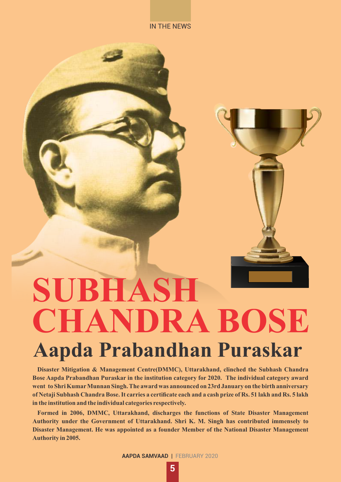#### IN THE NEWS



# **Aapda Prabandhan Puraskar SUBHASH CHANDRA BOSE**

**Disaster Mitigation & Management Centre(DMMC), Uttarakhand, clinched the Subhash Chandra Bose Aapda Prabandhan Puraskar in the institution category for 2020. The individual category award went to Shri KumarMunnan Singh. The award was announced on 23rd January on the birth anniversary of Netaji Subhash Chandra Bose. It carries a certificate each and a cash prize of Rs. 51 lakh and Rs. 5 lakh in the institution and the individual categories respectively.**

**Formed in 2006, DMMC, Uttarakhand, discharges the functions of State Disaster Management Authority under the Government of Uttarakhand. Shri K. M. Singh has contributed immensely to Disaster Management. He was appointed as a founder Member of the National Disaster Management Authority in 2005.**

**AAPDA SAMVAAD** | FEBRUARY 2020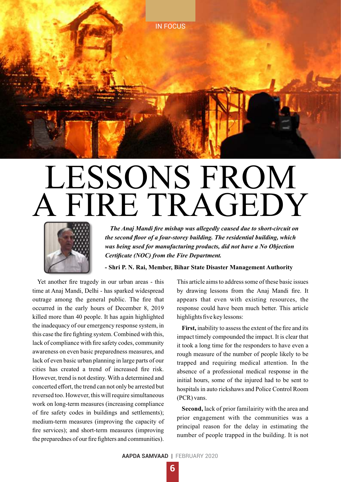

# LESSONS FROM A FIRE TRAGEDY



*The Anaj Mandi fire mishap was allegedly caused due to short-circuit on the second floor of a four-storey building. The residential building, which was being used for manufacturing products, did not have a No Objection Certificate (NOC) from the Fire Department.*

#### **- Shri P. N. Rai, Member, Bihar State Disaster Management Authority**

Yet another fire tragedy in our urban areas - this time at Anaj Mandi, Delhi - has sparked widespread outrage among the general public. The fire that occurred in the early hours of December 8, 2019 killed more than 40 people. It has again highlighted the inadequacy of our emergency response system, in this case the fire fighting system. Combined with this, lack of compliance with fire safety codes, community awareness on even basic preparedness measures, and lack of even basic urban planning in large parts of our cities has created a trend of increased fire risk. However, trend is not destiny. With a determined and concerted effort, the trend can not only be arrested but reversed too. However, this will require simultaneous work on long-term measures (increasing compliance of fire safety codes in buildings and settlements); medium-term measures (improving the capacity of fire services); and short-term measures (improving the preparednes of our fire fighters and communities).

This article aims to address some of these basic issues by drawing lessons from the Anaj Mandi fire. It appears that even with existing resources, the response could have been much better. This article highlights five key lessons:

**First,** inability to assess the extent of the fire and its impact timely compounded the impact. It is clear that it took a long time for the responders to have even a rough measure of the number of people likely to be trapped and requiring medical attention. In the absence of a professional medical response in the initial hours, some of the injured had to be sent to hospitals in auto rickshaws and Police Control Room (PCR) vans.

**Second,** lack of prior familairity with the area and prior engagement with the communities was a principal reason for the delay in estimating the number of people trapped in the building. It is not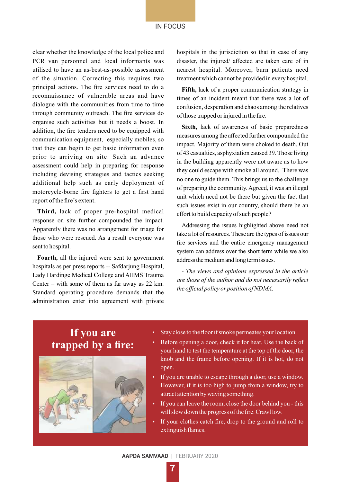### IN FOCUS

clear whether the knowledge of the local police and PCR van personnel and local informants was utilised to have an as-best-as-possible assessment of the situation. Correcting this requires two principal actions. The fire services need to do a reconnaissance of vulnerable areas and have dialogue with the communities from time to time through community outreach. The fire services do organise such activities but it needs a boost. In addition, the fire tenders need to be equipped with communication equipment, especially mobiles, so that they can begin to get basic information even prior to arriving on site. Such an advance assessment could help in preparing for response including devising strategies and tactics seeking additional help such as early deployment of motorcycle-borne fire fighters to get a first hand report of the fire's extent.

**Third,** lack of proper pre-hospital medical response on site further compounded the impact. Apparently there was no arrangement for triage for those who were rescued. As a result everyone was sent to hospital.

**Fourth,** all the injured were sent to government hospitals as per press reports -- Safdarjung Hospital, Lady Hardinge Medical College and AIIMS Trauma Center – with some of them as far away as 22 km. Standard operating procedure demands that the administration enter into agreement with private hospitals in the jurisdiction so that in case of any disaster, the injured/ affected are taken care of in nearest hospital. Moreover, burn patients need treatment which cannot be provided in every hospital.

**Fifth,** lack of a proper communication strategy in times of an incident meant that there was a lot of confusion, desperation and chaos among the relatives of those trapped or injured in the fire.

**Sixth,** lack of awareness of basic preparedness measures among the affected further compounded the impact. Majority of them were choked to death. Out of 43 casualties, asphyxiation caused 39. Those living in the building apparently were not aware as to how they could escape with smoke all around. There was no one to guide them. This brings us to the challenge of preparing the community. Agreed, it was an illegal unit which need not be there but given the fact that such issues exist in our country, should there be an effort to build capacity of such people?

Addressing the issues highlighted above need not take a lot of resources. These are the types of issues our fire services and the entire emergency management system can address over the short term while we also address the medium and long term issues.

*- The views and opinions expressed in the article are those of the author and do not necessarily reflect the official policy or position of NDMA.* 

### **If you are trapped by a fire:**



- Stay close to the floor if smoke permeates your location.
- Before opening a door, check it for heat. Use the back of your hand to test the temperature at the top of the door, the knob and the frame before opening. If it is hot, do not open.
- If you are unable to escape through a door, use a window. However, if it is too high to jump from a window, try to attract attention by waving something.
- If you can leave the room, close the door behind you this will slow down the progress of the fire. Crawl low.
- If your clothes catch fire, drop to the ground and roll to extinguish flames.

**AAPDA SAMVAAD** | FEBRUARY 2020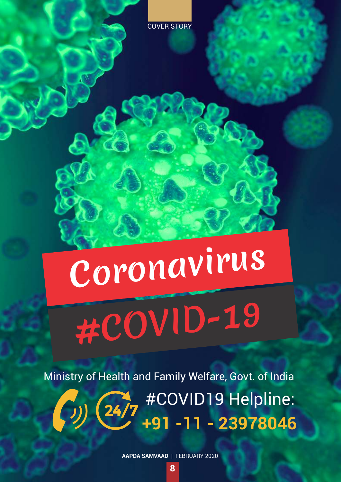# Coronavirus #COVID-19

Ministry of Health and Family Welfare, Govt. of India **\* #COVID19 Helpline: +91 -11 - 23978046**

**AAPDA SAMVAAD** | FEBRUARY 2020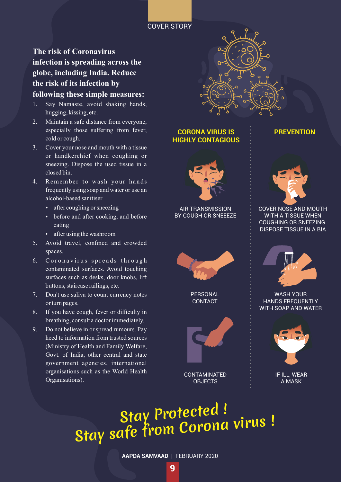### COVER STORY

**The risk of Coronavirus infection is spreading across the globe, including India. Reduce the risk of its infection by following these simple measures:**

- 1. Say Namaste, avoid shaking hands, hugging, kissing, etc.
- 2. Maintain a safe distance from everyone, especially those suffering from fever, cold or cough.
- 3. Cover your nose and mouth with a tissue or handkerchief when coughing or sneezing. Dispose the used tissue in a closed bin.
- 4. Remember to wash your hands frequently using soap and water or use an alcohol-based sanitiser
	- after coughing or sneezing
	- before and after cooking, and before eating
	- after using the washroom
- 5. Avoid travel, confined and crowded spaces.
- 6. Coronavirus spreads through contaminated surfaces. Avoid touching surfaces such as desks, door knobs, lift buttons, staircase railings, etc.
- 7. Don't use saliva to count currency notes or turn pages.
- 8. If you have cough, fever or difficulty in breathing, consult a doctor immediately.
- 9. Do not believe in or spread rumours. Pay heed to information from trusted sources (Ministry of Health and Family Welfare, Govt. of India, other central and state government agencies, international organisations such as the World Health Organisations).



### **CORONA VIRUS IS HIGHLY CONTAGIOUS**



AIR TRANSMISSION BY COUGH OR SNEEEZE



**PERSONAL CONTACT** 



**CONTAMINATED** OBJECTS



**PREVENTION**



COVER NOSE AND MOUTH WITH A TISSUE WHEN COUGHING OR SNEEZING. DISPOSE TISSUE IN A BIA



WASH YOUR HANDS FREQUENTLY WITH SOAP AND WATER



A MASK

# Stay Protected ! Stay safe from Corona virus !

**AAPDA SAMVAAD** | FEBRUARY 2020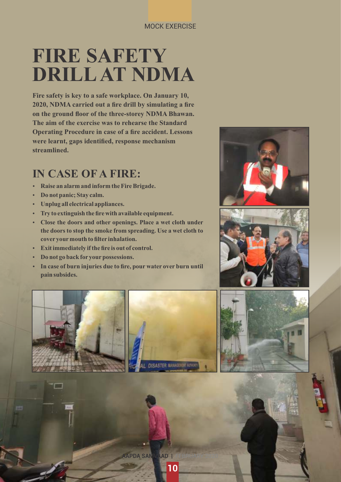### MOCK EXERCISE

# **FIRE SAFETY DRILLAT NDMA**

**Fire safety is key to a safe workplace. On January 10, 2020, NDMA carried out a fire drill by simulating a fire on the ground floor of the three-storey NDMA Bhawan. The aim of the exercise was to rehearse the Standard Operating Procedure in case of a fire accident. Lessons were learnt, gaps identified, response mechanism streamlined.**

# **IN CASE OF A FIRE:**

- **Raise an alarm and inform the Fire Brigade.**
- Do not panic; Stay calm.
- **•** Unplug all electrical appliances.
- **•** Try to extinguish the fire with available equipment.
- Ÿ **Close the doors and other openings. Place a wet cloth under the doors to stop the smoke from spreading. Use a wet cloth to cover yourmouth to filter inhalation.**
- **•** Exit immediately if the fire is out of control.
- $\cdot$  Do not go back for your possessions.
- $\cdot$  In case of burn injuries due to fire, pour water over burn until **pain subsides.**









**APDA SAMVAAD**